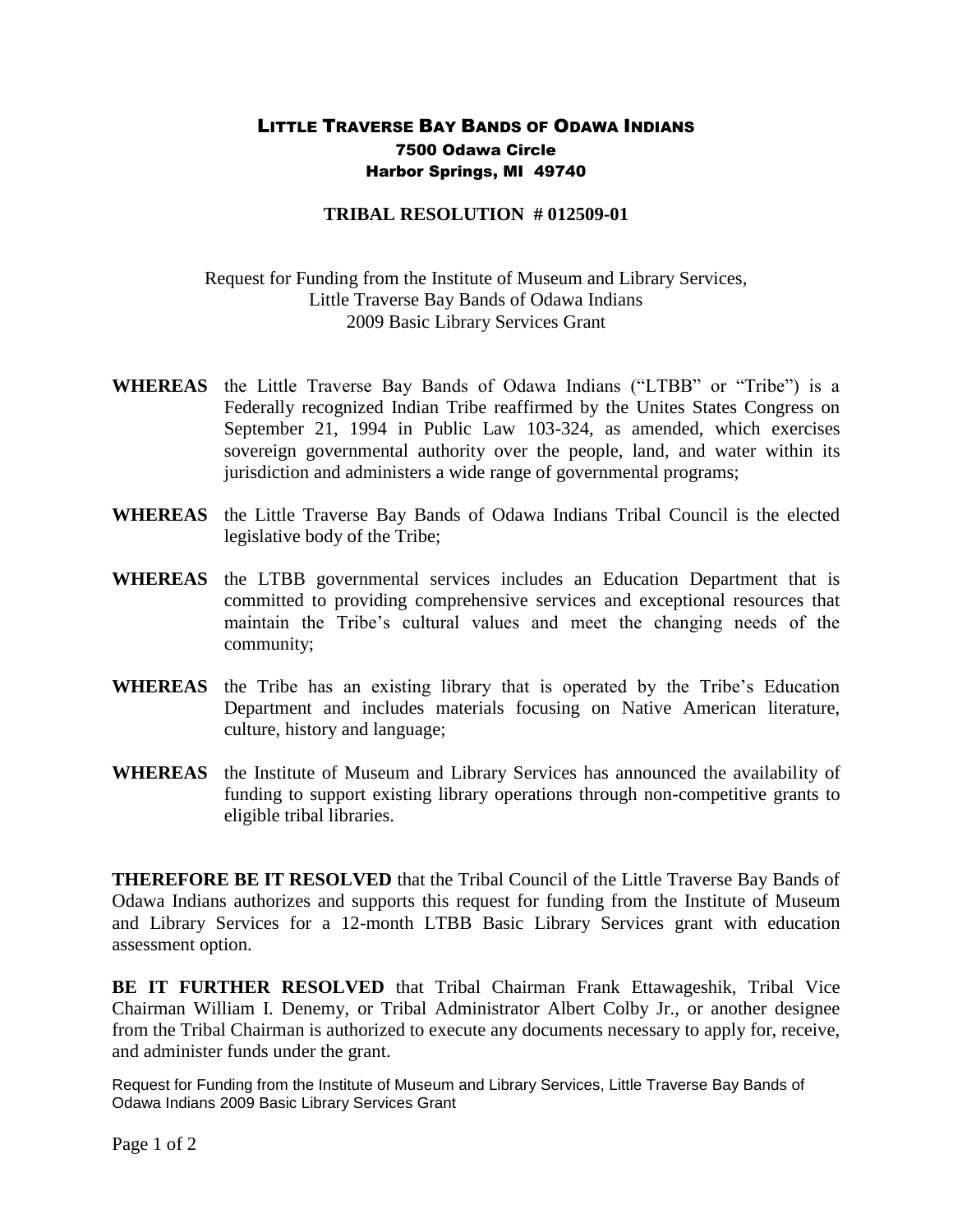## LITTLE TRAVERSE BAY BANDS OF ODAWA INDIANS 7500 Odawa Circle Harbor Springs, MI 49740

## **TRIBAL RESOLUTION # 012509-01**

## Request for Funding from the Institute of Museum and Library Services, Little Traverse Bay Bands of Odawa Indians 2009 Basic Library Services Grant

- **WHEREAS** the Little Traverse Bay Bands of Odawa Indians ("LTBB" or "Tribe") is a Federally recognized Indian Tribe reaffirmed by the Unites States Congress on September 21, 1994 in Public Law 103-324, as amended, which exercises sovereign governmental authority over the people, land, and water within its jurisdiction and administers a wide range of governmental programs;
- **WHEREAS** the Little Traverse Bay Bands of Odawa Indians Tribal Council is the elected legislative body of the Tribe;
- **WHEREAS** the LTBB governmental services includes an Education Department that is committed to providing comprehensive services and exceptional resources that maintain the Tribe's cultural values and meet the changing needs of the community;
- **WHEREAS** the Tribe has an existing library that is operated by the Tribe's Education Department and includes materials focusing on Native American literature, culture, history and language;
- **WHEREAS** the Institute of Museum and Library Services has announced the availability of funding to support existing library operations through non-competitive grants to eligible tribal libraries.

**THEREFORE BE IT RESOLVED** that the Tribal Council of the Little Traverse Bay Bands of Odawa Indians authorizes and supports this request for funding from the Institute of Museum and Library Services for a 12-month LTBB Basic Library Services grant with education assessment option.

**BE IT FURTHER RESOLVED** that Tribal Chairman Frank Ettawageshik, Tribal Vice Chairman William I. Denemy, or Tribal Administrator Albert Colby Jr., or another designee from the Tribal Chairman is authorized to execute any documents necessary to apply for, receive, and administer funds under the grant.

Request for Funding from the Institute of Museum and Library Services, Little Traverse Bay Bands of Odawa Indians 2009 Basic Library Services Grant

Page 1 of 2